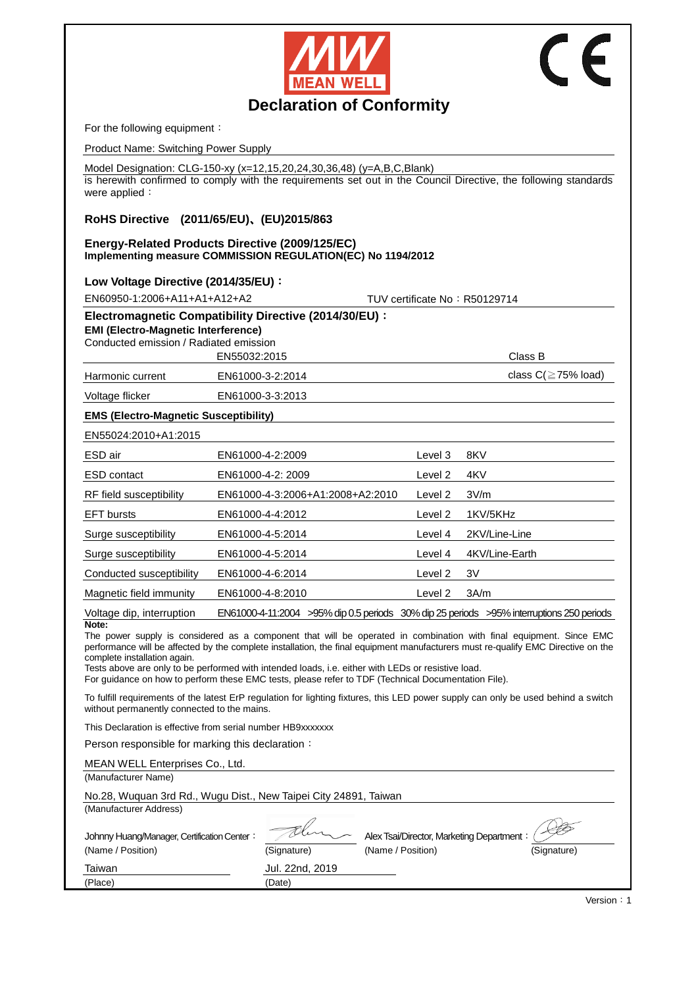



# **Declaration of Conformity**

For the following equipment:

Product Name: Switching Power Supply

Model Designation: CLG-150-xy (x=12,15,20,24,30,36,48) (y=A,B,C,Blank)

is herewith confirmed to comply with the requirements set out in the Council Directive, the following standards were applied:

# **RoHS Directive (2011/65/EU)**、**(EU)2015/863**

#### **Energy-Related Products Directive (2009/125/EC) Implementing measure COMMISSION REGULATION(EC) No 1194/2012**

## **Low Voltage Directive (2014/35/EU)**:

EN60950-1:2006+A11+A1+A12+A2 TUV certificate No:R50129714

| Electromagnetic Compatibility Directive (2014/30/EU): |  |  |
|-------------------------------------------------------|--|--|
| <b>EMI (Electro-Magnetic Interference)</b>            |  |  |
| Conducted emission / Radiated emission                |  |  |
| EN55032:2015                                          |  |  |
|                                                       |  |  |

Harmonic current EN61000-3-2:2014 Class C(≧75% load)

Class B

Voltage flicker EN61000-3-3:2013

## **EMS (Electro-Magnetic Susceptibility)**

| EN55024:2010+A1:2015      |                                                                                              |         |                |
|---------------------------|----------------------------------------------------------------------------------------------|---------|----------------|
| ESD air                   | EN61000-4-2:2009                                                                             | Level 3 | 8KV            |
| <b>ESD</b> contact        | EN61000-4-2: 2009                                                                            | Level 2 | 4KV            |
| RF field susceptibility   | EN61000-4-3:2006+A1:2008+A2:2010                                                             | Level 2 | 3V/m           |
| <b>EFT</b> bursts         | EN61000-4-4:2012                                                                             | Level 2 | 1KV/5KHz       |
| Surge susceptibility      | EN61000-4-5:2014                                                                             | Level 4 | 2KV/Line-Line  |
| Surge susceptibility      | EN61000-4-5:2014                                                                             | Level 4 | 4KV/Line-Earth |
| Conducted susceptibility  | EN61000-4-6:2014                                                                             | Level 2 | 3V             |
| Magnetic field immunity   | EN61000-4-8:2010                                                                             | Level 2 | 3A/m           |
| Voltage dip, interruption | EN61000-4-11:2004 > > 95% dip 0.5 periods 30% dip 25 periods > 95% interruptions 250 periods |         |                |

## **Note:**

The power supply is considered as a component that will be operated in combination with final equipment. Since EMC performance will be affected by the complete installation, the final equipment manufacturers must re-qualify EMC Directive on the complete installation again.

Tests above are only to be performed with intended loads, i.e. either with LEDs or resistive load.

For guidance on how to perform these EMC tests, please refer to TDF (Technical Documentation File).

To fulfill requirements of the latest ErP regulation for lighting fixtures, this LED power supply can only be used behind a switch without permanently connected to the mains.

This Declaration is effective from serial number HB9xxxxxxx

Person responsible for marking this declaration:

| MEAN WELL Enterprises Co., Ltd.                                  |                 |                                           |             |
|------------------------------------------------------------------|-----------------|-------------------------------------------|-------------|
| (Manufacturer Name)                                              |                 |                                           |             |
| No.28, Wuquan 3rd Rd., Wugu Dist., New Taipei City 24891, Taiwan |                 |                                           |             |
| (Manufacturer Address)                                           |                 |                                           |             |
| Johnny Huang/Manager, Certification Center:                      |                 | Alex Tsai/Director, Marketing Department: |             |
| (Name / Position)                                                | (Signature)     | (Name / Position)                         | (Signature) |
| Taiwan                                                           | Jul. 22nd, 2019 |                                           |             |
| (Place)                                                          | (Date)          |                                           |             |